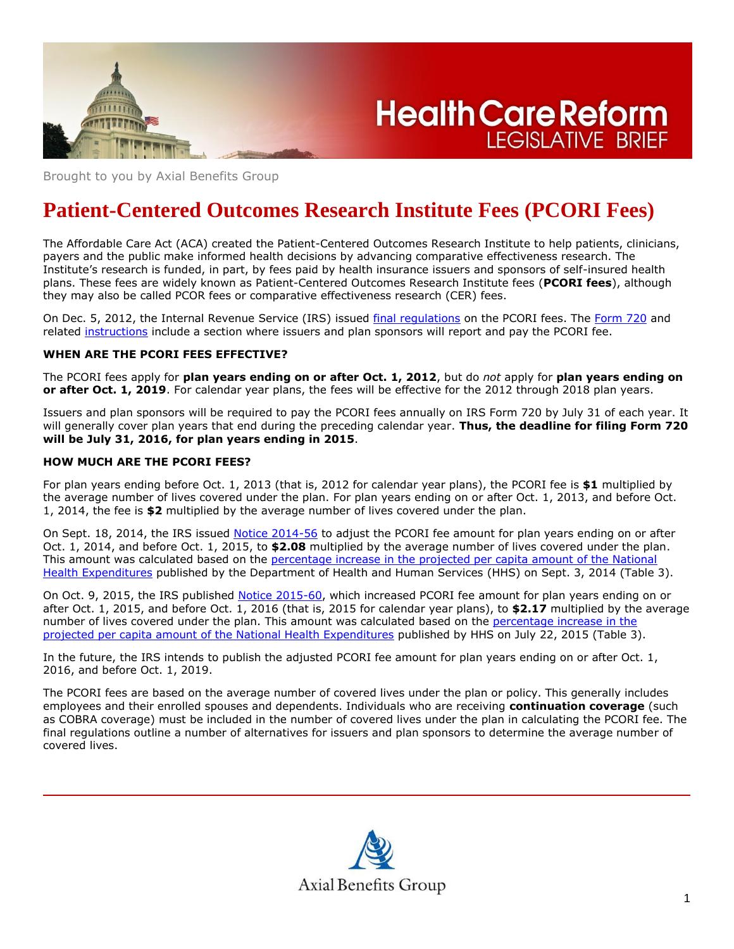

**Health Care Reform LEGISLATIVE BRIEF** 

Brought to you by Axial Benefits Group

# **Patient-Centered Outcomes Research Institute Fees (PCORI Fees)**

The Affordable Care Act (ACA) created the Patient-Centered Outcomes Research Institute to help patients, clinicians, payers and the public make informed health decisions by advancing comparative effectiveness research. The Institute's research is funded, in part, by fees paid by health insurance issuers and sponsors of self-insured health plans. These fees are widely known as Patient-Centered Outcomes Research Institute fees (**PCORI fees**), although they may also be called PCOR fees or comparative effectiveness research (CER) fees.

On Dec. 5, 2012, the Internal Revenue Service (IRS) issued final [regulations](http://www.gpo.gov/fdsys/pkg/FR-2012-12-06/pdf/2012-29325.pdf) on the PCORI fees. The [Form 720](http://www.irs.gov/pub/irs-pdf/f720.pdf) and related [instructions](http://www.irs.gov/pub/irs-pdf/i720.pdf) include a section where issuers and plan sponsors will report and pay the PCORI fee.

## **WHEN ARE THE PCORI FEES EFFECTIVE?**

The PCORI fees apply for **plan years ending on or after Oct. 1, 2012**, but do *not* apply for **plan years ending on or after Oct. 1, 2019**. For calendar year plans, the fees will be effective for the 2012 through 2018 plan years.

Issuers and plan sponsors will be required to pay the PCORI fees annually on IRS Form 720 by July 31 of each year. It will generally cover plan years that end during the preceding calendar year. **Thus, the deadline for filing Form 720 will be July 31, 2016, for plan years ending in 2015**.

#### **HOW MUCH ARE THE PCORI FEES?**

For plan years ending before Oct. 1, 2013 (that is, 2012 for calendar year plans), the PCORI fee is **\$1** multiplied by the average number of lives covered under the plan. For plan years ending on or after Oct. 1, 2013, and before Oct. 1, 2014, the fee is **\$2** multiplied by the average number of lives covered under the plan.

On Sept. 18, 2014, the IRS issued [Notice 2014-56](http://www.irs.gov/pub/irs-drop/n-14-56.pdf) to adjust the PCORI fee amount for plan years ending on or after Oct. 1, 2014, and before Oct. 1, 2015, to **\$2.08** multiplied by the average number of lives covered under the plan. This amount was calculated based on the [percentage increase in the projected per capita amount of the National](http://www.cms.gov/Research-Statistics-Data-and-Systems/Statistics-Trends-and-Reports/NationalHealthExpendData/Downloads/Proj2013tables.zip)  [Health Expenditures](http://www.cms.gov/Research-Statistics-Data-and-Systems/Statistics-Trends-and-Reports/NationalHealthExpendData/Downloads/Proj2013tables.zip) published by the Department of Health and Human Services (HHS) on Sept. 3, 2014 (Table 3).

On Oct. 9, 2015, the IRS published [Notice 2015-60,](https://www.irs.gov/pub/irs-drop/n-15-60.pdf) which increased PCORI fee amount for plan years ending on or after Oct. 1, 2015, and before Oct. 1, 2016 (that is, 2015 for calendar year plans), to **\$2.17** multiplied by the average number of lives covered under the plan. This amount was calculated based on the percentage increase in the [projected per capita amount of the National Health Expenditures](https://www.cms.gov/Research-Statistics-Data-and-Systems/Statistics-Trends-and-Reports/NationalHealthExpendData/Downloads/Proj2014tables.zip) published by HHS on July 22, 2015 (Table 3).

In the future, the IRS intends to publish the adjusted PCORI fee amount for plan years ending on or after Oct. 1, 2016, and before Oct. 1, 2019.

The PCORI fees are based on the average number of covered lives under the plan or policy. This generally includes employees and their enrolled spouses and dependents. Individuals who are receiving **continuation coverage** (such as COBRA coverage) must be included in the number of covered lives under the plan in calculating the PCORI fee. The final regulations outline a number of alternatives for issuers and plan sponsors to determine the average number of covered lives.

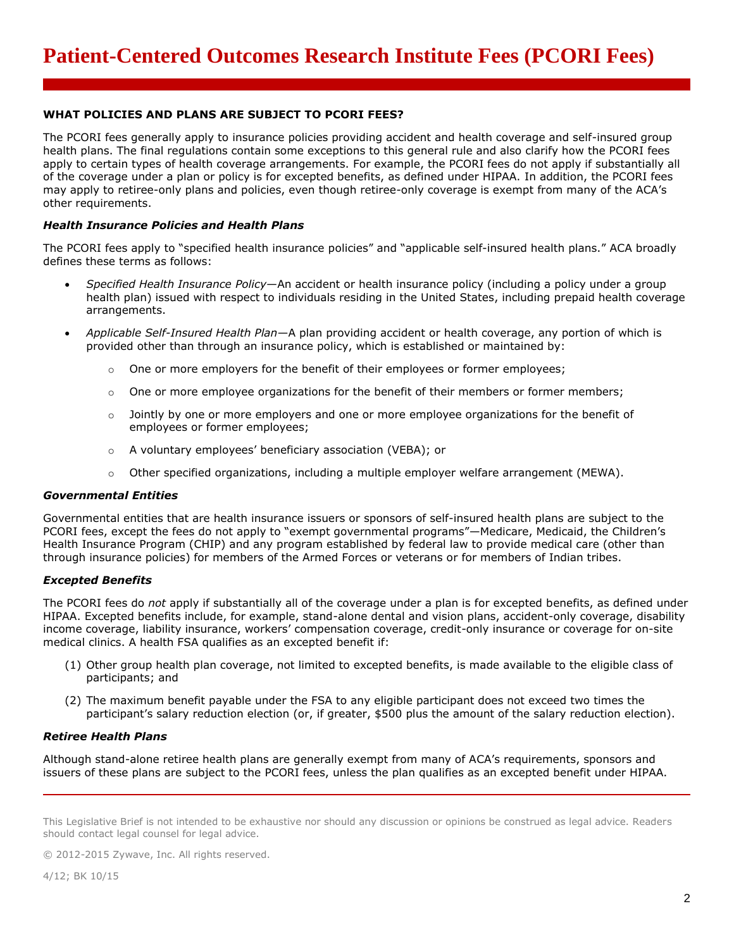## **WHAT POLICIES AND PLANS ARE SUBJECT TO PCORI FEES?**

The PCORI fees generally apply to insurance policies providing accident and health coverage and self-insured group health plans. The final regulations contain some exceptions to this general rule and also clarify how the PCORI fees apply to certain types of health coverage arrangements. For example, the PCORI fees do not apply if substantially all of the coverage under a plan or policy is for excepted benefits, as defined under HIPAA. In addition, the PCORI fees may apply to retiree-only plans and policies, even though retiree-only coverage is exempt from many of the ACA's other requirements.

## *Health Insurance Policies and Health Plans*

The PCORI fees apply to "specified health insurance policies" and "applicable self-insured health plans." ACA broadly defines these terms as follows:

- *Specified Health Insurance Policy*—An accident or health insurance policy (including a policy under a group health plan) issued with respect to individuals residing in the United States, including prepaid health coverage arrangements.
- *Applicable Self-Insured Health Plan*—A plan providing accident or health coverage, any portion of which is provided other than through an insurance policy, which is established or maintained by:
	- One or more employers for the benefit of their employees or former employees;
	- $\circ$  One or more employee organizations for the benefit of their members or former members;
	- $\circ$  Jointly by one or more employers and one or more employee organizations for the benefit of employees or former employees;
	- o A voluntary employees' beneficiary association (VEBA); or
	- $\circ$  Other specified organizations, including a multiple employer welfare arrangement (MEWA).

#### *Governmental Entities*

Governmental entities that are health insurance issuers or sponsors of self-insured health plans are subject to the PCORI fees, except the fees do not apply to "exempt governmental programs"—Medicare, Medicaid, the Children's Health Insurance Program (CHIP) and any program established by federal law to provide medical care (other than through insurance policies) for members of the Armed Forces or veterans or for members of Indian tribes.

# *Excepted Benefits*

The PCORI fees do *not* apply if substantially all of the coverage under a plan is for excepted benefits, as defined under HIPAA. Excepted benefits include, for example, stand-alone dental and vision plans, accident-only coverage, disability income coverage, liability insurance, workers' compensation coverage, credit-only insurance or coverage for on-site medical clinics. A health FSA qualifies as an excepted benefit if:

- (1) Other group health plan coverage, not limited to excepted benefits, is made available to the eligible class of participants; and
- (2) The maximum benefit payable under the FSA to any eligible participant does not exceed two times the participant's salary reduction election (or, if greater, \$500 plus the amount of the salary reduction election).

## *Retiree Health Plans*

Although stand-alone retiree health plans are generally exempt from many of ACA's requirements, sponsors and issuers of these plans are subject to the PCORI fees, unless the plan qualifies as an excepted benefit under HIPAA.

This Legislative Brief is not intended to be exhaustive nor should any discussion or opinions be construed as legal advice. Readers should contact legal counsel for legal advice.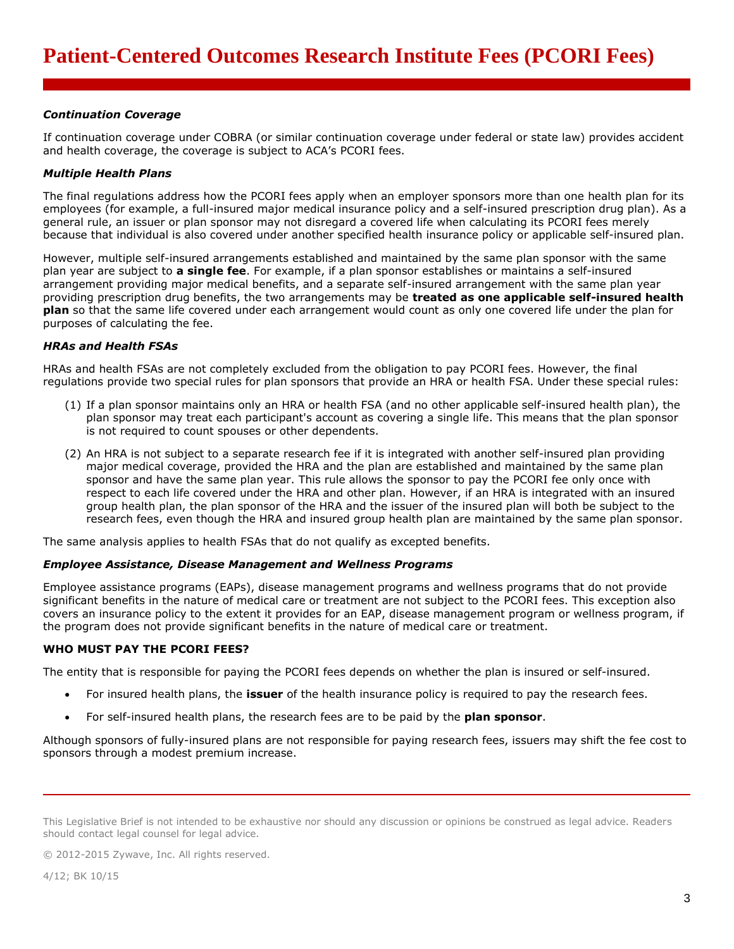## *Continuation Coverage*

If continuation coverage under COBRA (or similar continuation coverage under federal or state law) provides accident and health coverage, the coverage is subject to ACA's PCORI fees.

## *Multiple Health Plans*

The final regulations address how the PCORI fees apply when an employer sponsors more than one health plan for its employees (for example, a full-insured major medical insurance policy and a self-insured prescription drug plan). As a general rule, an issuer or plan sponsor may not disregard a covered life when calculating its PCORI fees merely because that individual is also covered under another specified health insurance policy or applicable self-insured plan.

However, multiple self-insured arrangements established and maintained by the same plan sponsor with the same plan year are subject to **a single fee**. For example, if a plan sponsor establishes or maintains a self-insured arrangement providing major medical benefits, and a separate self-insured arrangement with the same plan year providing prescription drug benefits, the two arrangements may be **treated as one applicable self-insured health plan** so that the same life covered under each arrangement would count as only one covered life under the plan for purposes of calculating the fee.

# *HRAs and Health FSAs*

HRAs and health FSAs are not completely excluded from the obligation to pay PCORI fees. However, the final regulations provide two special rules for plan sponsors that provide an HRA or health FSA. Under these special rules:

- (1) If a plan sponsor maintains only an HRA or health FSA (and no other applicable self-insured health plan), the plan sponsor may treat each participant's account as covering a single life. This means that the plan sponsor is not required to count spouses or other dependents.
- (2) An HRA is not subject to a separate research fee if it is integrated with another self-insured plan providing major medical coverage, provided the HRA and the plan are established and maintained by the same plan sponsor and have the same plan year. This rule allows the sponsor to pay the PCORI fee only once with respect to each life covered under the HRA and other plan. However, if an HRA is integrated with an insured group health plan, the plan sponsor of the HRA and the issuer of the insured plan will both be subject to the research fees, even though the HRA and insured group health plan are maintained by the same plan sponsor.

The same analysis applies to health FSAs that do not qualify as excepted benefits.

## *Employee Assistance, Disease Management and Wellness Programs*

Employee assistance programs (EAPs), disease management programs and wellness programs that do not provide significant benefits in the nature of medical care or treatment are not subject to the PCORI fees. This exception also covers an insurance policy to the extent it provides for an EAP, disease management program or wellness program, if the program does not provide significant benefits in the nature of medical care or treatment.

## **WHO MUST PAY THE PCORI FEES?**

The entity that is responsible for paying the PCORI fees depends on whether the plan is insured or self-insured.

- For insured health plans, the **issuer** of the health insurance policy is required to pay the research fees.
- For self-insured health plans, the research fees are to be paid by the **plan sponsor**.

Although sponsors of fully-insured plans are not responsible for paying research fees, issuers may shift the fee cost to sponsors through a modest premium increase.

This Legislative Brief is not intended to be exhaustive nor should any discussion or opinions be construed as legal advice. Readers should contact legal counsel for legal advice.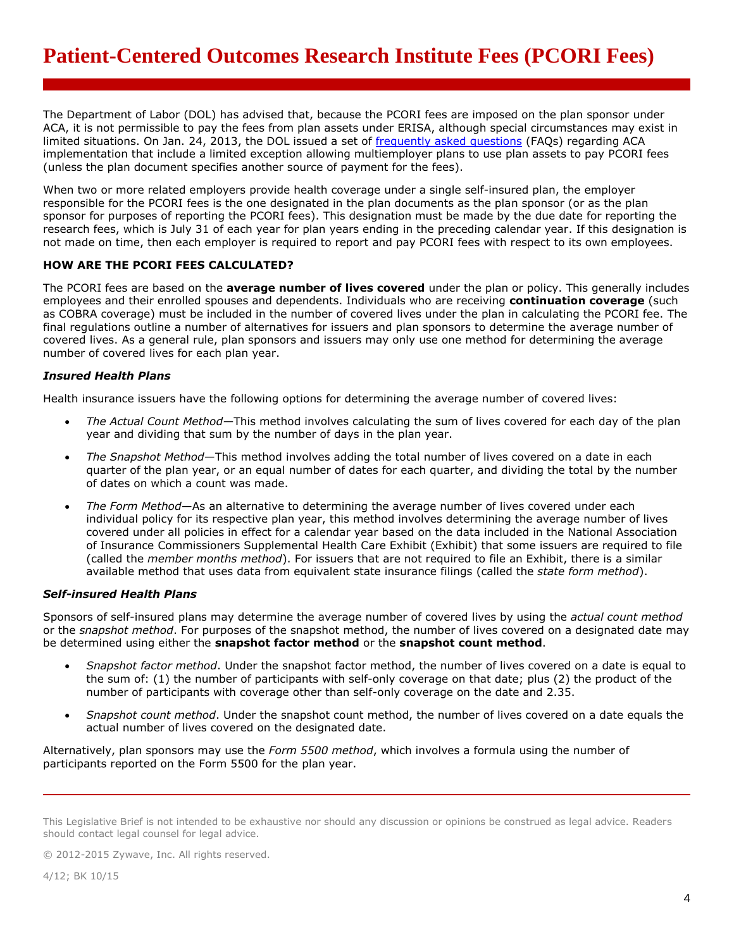The Department of Labor (DOL) has advised that, because the PCORI fees are imposed on the plan sponsor under ACA, it is not permissible to pay the fees from plan assets under ERISA, although special circumstances may exist in limited situations. On Jan. 24, 2013, the DOL issued a set of [frequently asked questions](http://www.dol.gov/ebsa/faqs/faq-aca11.html) (FAQs) regarding ACA implementation that include a limited exception allowing multiemployer plans to use plan assets to pay PCORI fees (unless the plan document specifies another source of payment for the fees).

When two or more related employers provide health coverage under a single self-insured plan, the employer responsible for the PCORI fees is the one designated in the plan documents as the plan sponsor (or as the plan sponsor for purposes of reporting the PCORI fees). This designation must be made by the due date for reporting the research fees, which is July 31 of each year for plan years ending in the preceding calendar year. If this designation is not made on time, then each employer is required to report and pay PCORI fees with respect to its own employees.

#### **HOW ARE THE PCORI FEES CALCULATED?**

The PCORI fees are based on the **average number of lives covered** under the plan or policy. This generally includes employees and their enrolled spouses and dependents. Individuals who are receiving **continuation coverage** (such as COBRA coverage) must be included in the number of covered lives under the plan in calculating the PCORI fee. The final regulations outline a number of alternatives for issuers and plan sponsors to determine the average number of covered lives. As a general rule, plan sponsors and issuers may only use one method for determining the average number of covered lives for each plan year.

#### *Insured Health Plans*

Health insurance issuers have the following options for determining the average number of covered lives:

- *The Actual Count Method—*This method involves calculating the sum of lives covered for each day of the plan year and dividing that sum by the number of days in the plan year.
- *The Snapshot Method*—This method involves adding the total number of lives covered on a date in each quarter of the plan year, or an equal number of dates for each quarter, and dividing the total by the number of dates on which a count was made.
- *The Form Method*—As an alternative to determining the average number of lives covered under each individual policy for its respective plan year, this method involves determining the average number of lives covered under all policies in effect for a calendar year based on the data included in the National Association of Insurance Commissioners Supplemental Health Care Exhibit (Exhibit) that some issuers are required to file (called the *member months method*). For issuers that are not required to file an Exhibit, there is a similar available method that uses data from equivalent state insurance filings (called the *state form method*).

#### *Self-insured Health Plans*

Sponsors of self-insured plans may determine the average number of covered lives by using the *actual count method* or the *snapshot method*. For purposes of the snapshot method, the number of lives covered on a designated date may be determined using either the **snapshot factor method** or the **snapshot count method**.

- *Snapshot factor method*. Under the snapshot factor method, the number of lives covered on a date is equal to the sum of: (1) the number of participants with self-only coverage on that date; plus (2) the product of the number of participants with coverage other than self-only coverage on the date and 2.35.
- *Snapshot count method*. Under the snapshot count method, the number of lives covered on a date equals the actual number of lives covered on the designated date.

Alternatively, plan sponsors may use the *Form 5500 method*, which involves a formula using the number of participants reported on the Form 5500 for the plan year.

This Legislative Brief is not intended to be exhaustive nor should any discussion or opinions be construed as legal advice. Readers should contact legal counsel for legal advice.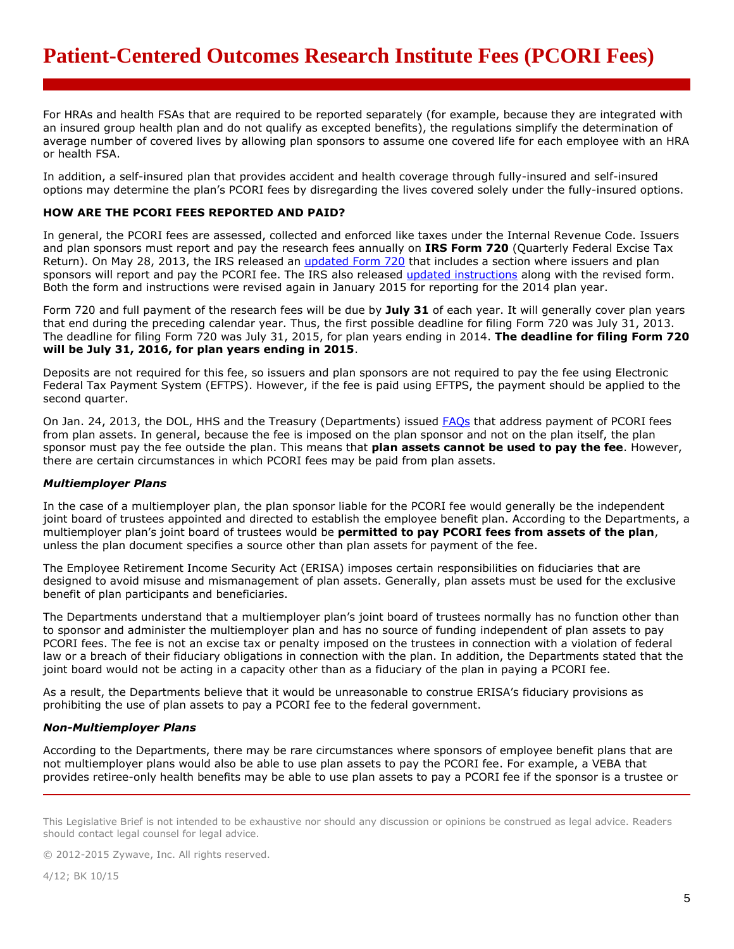For HRAs and health FSAs that are required to be reported separately (for example, because they are integrated with an insured group health plan and do not qualify as excepted benefits), the regulations simplify the determination of average number of covered lives by allowing plan sponsors to assume one covered life for each employee with an HRA or health FSA.

In addition, a self-insured plan that provides accident and health coverage through fully-insured and self-insured options may determine the plan's PCORI fees by disregarding the lives covered solely under the fully-insured options.

#### **HOW ARE THE PCORI FEES REPORTED AND PAID?**

In general, the PCORI fees are assessed, collected and enforced like taxes under the Internal Revenue Code. Issuers and plan sponsors must report and pay the research fees annually on **IRS Form 720** (Quarterly Federal Excise Tax Return). On May 28, 2013, the IRS released an [updated Form 720](http://www.irs.gov/pub/irs-pdf/f720.pdf) that includes a section where issuers and plan sponsors will report and pay the PCORI fee. The IRS also released [updated instructions](http://www.irs.gov/pub/irs-pdf/i720.pdf) along with the revised form. Both the form and instructions were revised again in January 2015 for reporting for the 2014 plan year.

Form 720 and full payment of the research fees will be due by **July 31** of each year. It will generally cover plan years that end during the preceding calendar year. Thus, the first possible deadline for filing Form 720 was July 31, 2013. The deadline for filing Form 720 was July 31, 2015, for plan years ending in 2014. **The deadline for filing Form 720 will be July 31, 2016, for plan years ending in 2015**.

Deposits are not required for this fee, so issuers and plan sponsors are not required to pay the fee using Electronic Federal Tax Payment System (EFTPS). However, if the fee is paid using EFTPS, the payment should be applied to the second quarter.

On Jan. 24, 2013, the DOL, HHS and the Treasury (Departments) issued [FAQs](http://www.dol.gov/ebsa/faqs/faq-aca11.html) that address payment of PCORI fees from plan assets. In general, because the fee is imposed on the plan sponsor and not on the plan itself, the plan sponsor must pay the fee outside the plan. This means that **plan assets cannot be used to pay the fee**. However, there are certain circumstances in which PCORI fees may be paid from plan assets.

## *Multiemployer Plans*

In the case of a multiemployer plan, the plan sponsor liable for the PCORI fee would generally be the independent joint board of trustees appointed and directed to establish the employee benefit plan. According to the Departments, a multiemployer plan's joint board of trustees would be **permitted to pay PCORI fees from assets of the plan**, unless the plan document specifies a source other than plan assets for payment of the fee.

The Employee Retirement Income Security Act (ERISA) imposes certain responsibilities on fiduciaries that are designed to avoid misuse and mismanagement of plan assets. Generally, plan assets must be used for the exclusive benefit of plan participants and beneficiaries.

The Departments understand that a multiemployer plan's joint board of trustees normally has no function other than to sponsor and administer the multiemployer plan and has no source of funding independent of plan assets to pay PCORI fees. The fee is not an excise tax or penalty imposed on the trustees in connection with a violation of federal law or a breach of their fiduciary obligations in connection with the plan. In addition, the Departments stated that the joint board would not be acting in a capacity other than as a fiduciary of the plan in paying a PCORI fee.

As a result, the Departments believe that it would be unreasonable to construe ERISA's fiduciary provisions as prohibiting the use of plan assets to pay a PCORI fee to the federal government.

#### *Non-Multiemployer Plans*

According to the Departments, there may be rare circumstances where sponsors of employee benefit plans that are not multiemployer plans would also be able to use plan assets to pay the PCORI fee. For example, a VEBA that provides retiree-only health benefits may be able to use plan assets to pay a PCORI fee if the sponsor is a trustee or

© 2012-2015 Zywave, Inc. All rights reserved.

4/12; BK 10/15

This Legislative Brief is not intended to be exhaustive nor should any discussion or opinions be construed as legal advice. Readers should contact legal counsel for legal advice.